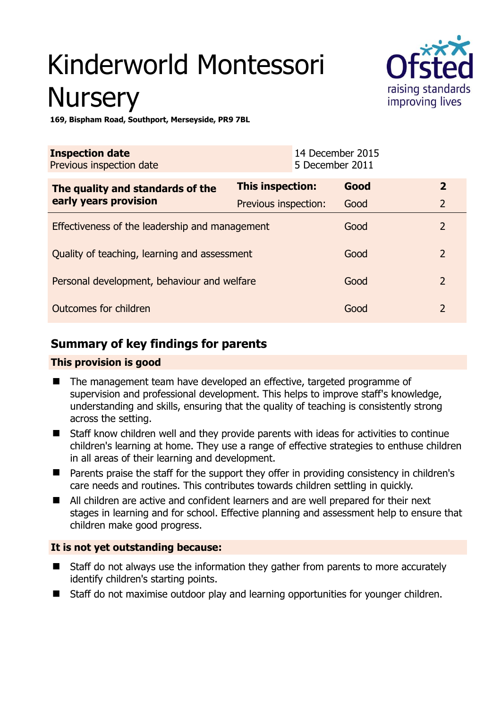# Kinderworld Montessori **Nursery**



**169, Bispham Road, Southport, Merseyside, PR9 7BL** 

| <b>Inspection date</b><br>Previous inspection date        |                         | 14 December 2015<br>5 December 2011 |      |                |
|-----------------------------------------------------------|-------------------------|-------------------------------------|------|----------------|
| The quality and standards of the<br>early years provision | <b>This inspection:</b> |                                     | Good | $\overline{2}$ |
|                                                           | Previous inspection:    |                                     | Good | $\overline{2}$ |
| Effectiveness of the leadership and management            |                         |                                     | Good | $\overline{2}$ |
| Quality of teaching, learning and assessment              |                         |                                     | Good | $\overline{2}$ |
| Personal development, behaviour and welfare               |                         |                                     | Good | $\overline{2}$ |
| Outcomes for children                                     |                         |                                     | Good | $\mathcal{P}$  |

# **Summary of key findings for parents**

## **This provision is good**

- The management team have developed an effective, targeted programme of supervision and professional development. This helps to improve staff's knowledge, understanding and skills, ensuring that the quality of teaching is consistently strong across the setting.
- Staff know children well and they provide parents with ideas for activities to continue children's learning at home. They use a range of effective strategies to enthuse children in all areas of their learning and development.
- Parents praise the staff for the support they offer in providing consistency in children's care needs and routines. This contributes towards children settling in quickly.
- All children are active and confident learners and are well prepared for their next stages in learning and for school. Effective planning and assessment help to ensure that children make good progress.

# **It is not yet outstanding because:**

- Staff do not always use the information they gather from parents to more accurately identify children's starting points.
- Staff do not maximise outdoor play and learning opportunities for younger children.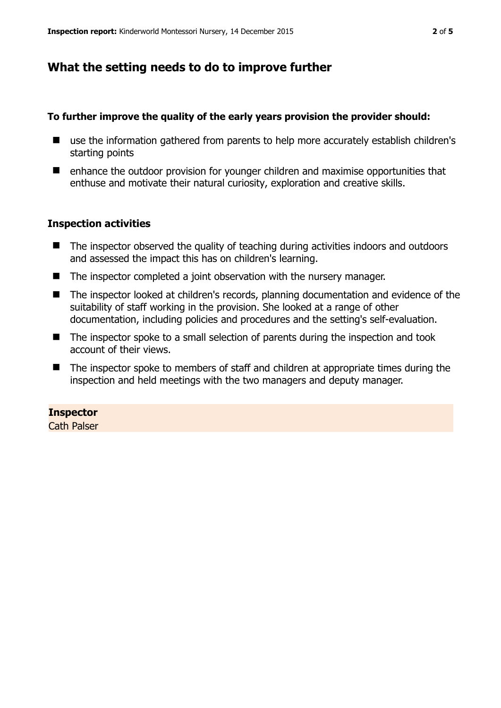# **What the setting needs to do to improve further**

### **To further improve the quality of the early years provision the provider should:**

- use the information gathered from parents to help more accurately establish children's starting points
- enhance the outdoor provision for vounger children and maximise opportunities that enthuse and motivate their natural curiosity, exploration and creative skills.

#### **Inspection activities**

- The inspector observed the quality of teaching during activities indoors and outdoors and assessed the impact this has on children's learning.
- The inspector completed a joint observation with the nursery manager.
- The inspector looked at children's records, planning documentation and evidence of the suitability of staff working in the provision. She looked at a range of other documentation, including policies and procedures and the setting's self-evaluation.
- The inspector spoke to a small selection of parents during the inspection and took account of their views.
- The inspector spoke to members of staff and children at appropriate times during the inspection and held meetings with the two managers and deputy manager.

#### **Inspector**

Cath Palser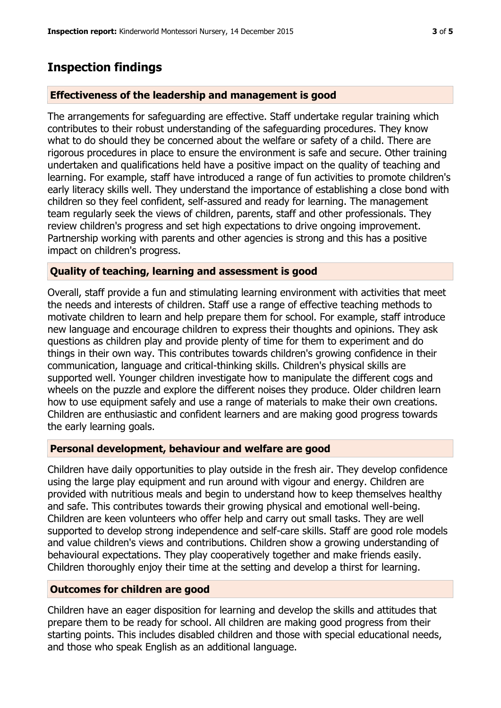# **Inspection findings**

# **Effectiveness of the leadership and management is good**

The arrangements for safeguarding are effective. Staff undertake regular training which contributes to their robust understanding of the safeguarding procedures. They know what to do should they be concerned about the welfare or safety of a child. There are rigorous procedures in place to ensure the environment is safe and secure. Other training undertaken and qualifications held have a positive impact on the quality of teaching and learning. For example, staff have introduced a range of fun activities to promote children's early literacy skills well. They understand the importance of establishing a close bond with children so they feel confident, self-assured and ready for learning. The management team regularly seek the views of children, parents, staff and other professionals. They review children's progress and set high expectations to drive ongoing improvement. Partnership working with parents and other agencies is strong and this has a positive impact on children's progress.

## **Quality of teaching, learning and assessment is good**

Overall, staff provide a fun and stimulating learning environment with activities that meet the needs and interests of children. Staff use a range of effective teaching methods to motivate children to learn and help prepare them for school. For example, staff introduce new language and encourage children to express their thoughts and opinions. They ask questions as children play and provide plenty of time for them to experiment and do things in their own way. This contributes towards children's growing confidence in their communication, language and critical-thinking skills. Children's physical skills are supported well. Younger children investigate how to manipulate the different cogs and wheels on the puzzle and explore the different noises they produce. Older children learn how to use equipment safely and use a range of materials to make their own creations. Children are enthusiastic and confident learners and are making good progress towards the early learning goals.

## **Personal development, behaviour and welfare are good**

Children have daily opportunities to play outside in the fresh air. They develop confidence using the large play equipment and run around with vigour and energy. Children are provided with nutritious meals and begin to understand how to keep themselves healthy and safe. This contributes towards their growing physical and emotional well-being. Children are keen volunteers who offer help and carry out small tasks. They are well supported to develop strong independence and self-care skills. Staff are good role models and value children's views and contributions. Children show a growing understanding of behavioural expectations. They play cooperatively together and make friends easily. Children thoroughly enjoy their time at the setting and develop a thirst for learning.

## **Outcomes for children are good**

Children have an eager disposition for learning and develop the skills and attitudes that prepare them to be ready for school. All children are making good progress from their starting points. This includes disabled children and those with special educational needs, and those who speak English as an additional language.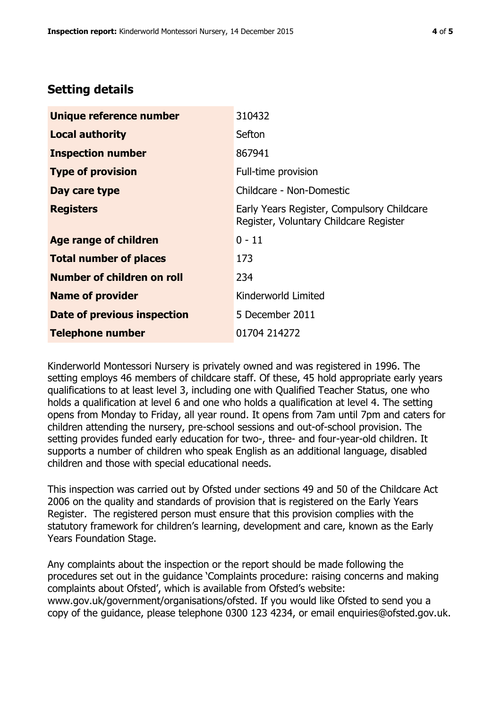# **Setting details**

| Unique reference number       | 310432                                                                               |  |
|-------------------------------|--------------------------------------------------------------------------------------|--|
| <b>Local authority</b>        | Sefton                                                                               |  |
| <b>Inspection number</b>      | 867941                                                                               |  |
| <b>Type of provision</b>      | Full-time provision                                                                  |  |
| Day care type                 | Childcare - Non-Domestic                                                             |  |
| <b>Registers</b>              | Early Years Register, Compulsory Childcare<br>Register, Voluntary Childcare Register |  |
| <b>Age range of children</b>  | $0 - 11$                                                                             |  |
| <b>Total number of places</b> | 173                                                                                  |  |
| Number of children on roll    | 234                                                                                  |  |
| <b>Name of provider</b>       | Kinderworld Limited                                                                  |  |
| Date of previous inspection   | 5 December 2011                                                                      |  |
| <b>Telephone number</b>       | 01704 214272                                                                         |  |

Kinderworld Montessori Nursery is privately owned and was registered in 1996. The setting employs 46 members of childcare staff. Of these, 45 hold appropriate early years qualifications to at least level 3, including one with Qualified Teacher Status, one who holds a qualification at level 6 and one who holds a qualification at level 4. The setting opens from Monday to Friday, all year round. It opens from 7am until 7pm and caters for children attending the nursery, pre-school sessions and out-of-school provision. The setting provides funded early education for two-, three- and four-year-old children. It supports a number of children who speak English as an additional language, disabled children and those with special educational needs.

This inspection was carried out by Ofsted under sections 49 and 50 of the Childcare Act 2006 on the quality and standards of provision that is registered on the Early Years Register. The registered person must ensure that this provision complies with the statutory framework for children's learning, development and care, known as the Early Years Foundation Stage.

Any complaints about the inspection or the report should be made following the procedures set out in the guidance 'Complaints procedure: raising concerns and making complaints about Ofsted', which is available from Ofsted's website: www.gov.uk/government/organisations/ofsted. If you would like Ofsted to send you a copy of the guidance, please telephone 0300 123 4234, or email enquiries@ofsted.gov.uk.